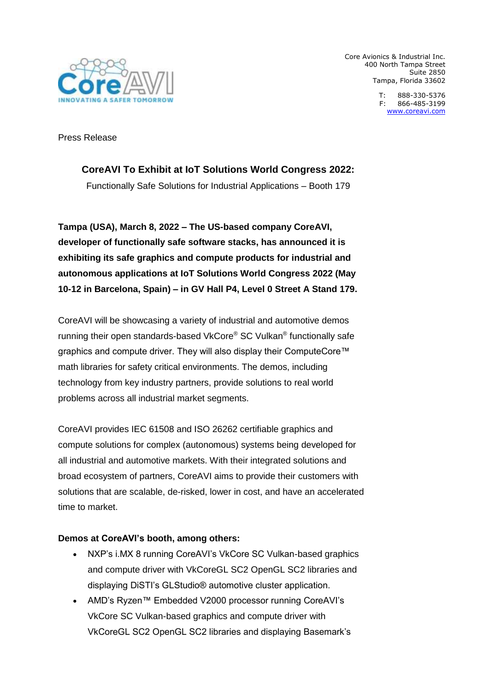

Core Avionics & Industrial Inc. 400 North Tampa Street Suite 2850 Tampa, Florida 33602

> T: 888-330-5376 F: 866-485-3199 [www.coreavi.com](http://www.coreavi.com/)

Press Release

# **CoreAVI To Exhibit at IoT Solutions World Congress 2022:**

Functionally Safe Solutions for Industrial Applications – Booth 179

**Tampa (USA), March 8, 2022 – The US-based company CoreAVI, developer of functionally safe software stacks, has announced it is exhibiting its safe graphics and compute products for industrial and autonomous applications at IoT Solutions World Congress 2022 (May 10-12 in Barcelona, Spain) – in GV Hall P4, Level 0 Street A Stand 179.**

CoreAVI will be showcasing a variety of industrial and automotive demos running their open standards-based VkCore® SC Vulkan® functionally safe graphics and compute driver. They will also display their ComputeCore™ math libraries for safety critical environments. The demos, including technology from key industry partners, provide solutions to real world problems across all industrial market segments.

CoreAVI provides IEC 61508 and ISO 26262 certifiable graphics and compute solutions for complex (autonomous) systems being developed for all industrial and automotive markets. With their integrated solutions and broad ecosystem of partners, CoreAVI aims to provide their customers with solutions that are scalable, de-risked, lower in cost, and have an accelerated time to market.

## **Demos at CoreAVI's booth, among others:**

- NXP's i.MX 8 running CoreAVI's VkCore SC Vulkan-based graphics and compute driver with VkCoreGL SC2 OpenGL SC2 libraries and displaying DiSTI's GLStudio® automotive cluster application.
- AMD's Ryzen™ Embedded V2000 processor running CoreAVI's VkCore SC Vulkan-based graphics and compute driver with VkCoreGL SC2 OpenGL SC2 libraries and displaying Basemark's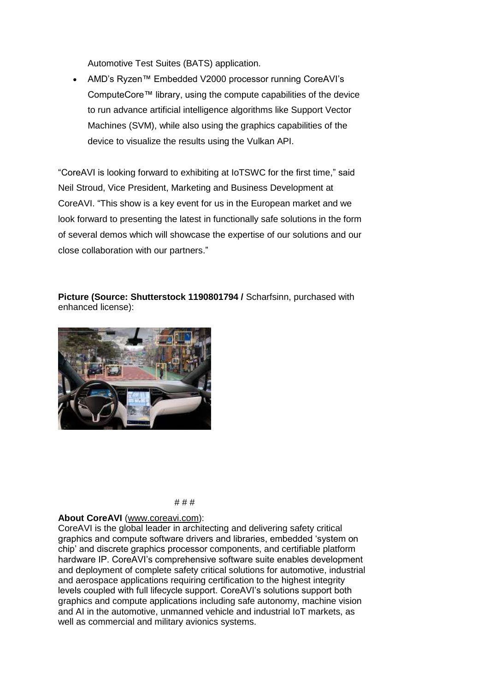Automotive Test Suites (BATS) application.

 AMD's Ryzen™ Embedded V2000 processor running CoreAVI's ComputeCore™ library, using the compute capabilities of the device to run advance artificial intelligence algorithms like Support Vector Machines (SVM), while also using the graphics capabilities of the device to visualize the results using the Vulkan API.

"CoreAVI is looking forward to exhibiting at IoTSWC for the first time," said Neil Stroud, Vice President, Marketing and Business Development at CoreAVI. "This show is a key event for us in the European market and we look forward to presenting the latest in functionally safe solutions in the form of several demos which will showcase the expertise of our solutions and our close collaboration with our partners."

**Picture (Source: Shutterstock 1190801794 /** Scharfsinn, purchased with enhanced license):



#### # # #

#### **About CoreAVI** [\(www.coreavi.com\)](http://www.coreavi.com/):

CoreAVI is the global leader in architecting and delivering safety critical graphics and compute software drivers and libraries, embedded 'system on chip' and discrete graphics processor components, and certifiable platform hardware IP. CoreAVI's comprehensive software suite enables development and deployment of complete safety critical solutions for automotive, industrial and aerospace applications requiring certification to the highest integrity levels coupled with full lifecycle support. CoreAVI's solutions support both graphics and compute applications including safe autonomy, machine vision and AI in the automotive, unmanned vehicle and industrial IoT markets, as well as commercial and military avionics systems.